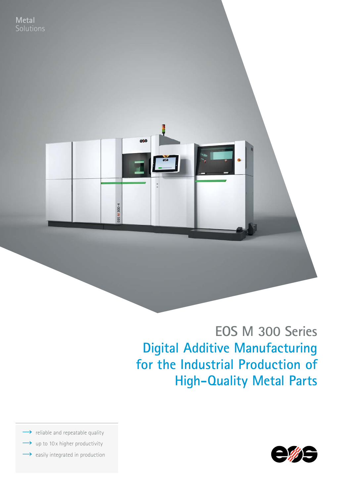

# **EOS M 300 Series Digital Additive Manufacturing for the Industrial Production of High-Quality Metal Parts**

 $\rightarrow$  reliable and repeatable quality

- up to 10x higher productivity
- $\rightarrow$  easily integrated in production

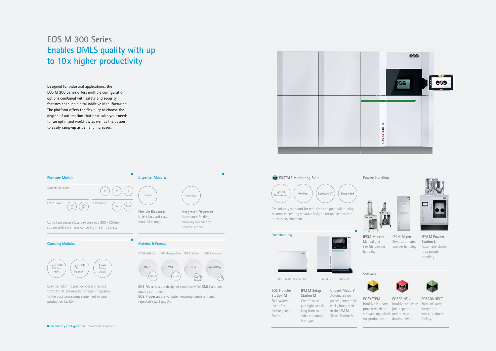# **EOS M 300 Series Enables DMLS quality with up to 10x higher productivity**

![](_page_1_Figure_12.jpeg)

![](_page_1_Figure_3.jpeg)

![](_page_1_Picture_23.jpeg)

Intuitive industry Intuitive and easy software optimized and process for production. development. **EOSPRINT 2**  job preparation

![](_page_1_Picture_25.jpeg)

**EOSCONNECT** Easy software integration into a production facility.

Designed for industrial applications, the EOS M 300 Series offers multiple configuration options combined with safety and security features enabling digital Additive Manufacturing. The platform offers the flexiblity to choose the degree of automation that best suits your needs for an optimized workflow as well as the option to easily ramp-up as demand increases.

![](_page_1_Figure_2.jpeg)

**EOS Transfer Station M**  Fast switchover of the exchangeable frame.

**IPM M Setup Station M** Comfortable gas-tight unpakking from two sides and under inert gas.

**Unpack Module\***  Automated unpacking integrable easily integrated in the IPM M Setup Station M.

![](_page_1_Picture_14.jpeg)

**IPCM M extra**  Manual and flexible powder handling.

![](_page_1_Picture_16.jpeg)

**IPCM M pro**  Semi-automated powder handling.

![](_page_1_Picture_18.jpeg)

**IPM M Powder Station L**  Automatic closed loop powder handling.

#### **Powder Handling**

AM industry standard for real-time and post built quality assurance, creating valuable insights for application and process development.

![](_page_1_Picture_7.jpeg)

**EOSTATE Monitoring Suite**

**Part Handling**

![](_page_1_Figure_5.jpeg)

#### **Software**

**EOSYSTEM** 

![](_page_1_Picture_21.jpeg)

proven machine

EOS Transfer Station M IPM M Setup Station M